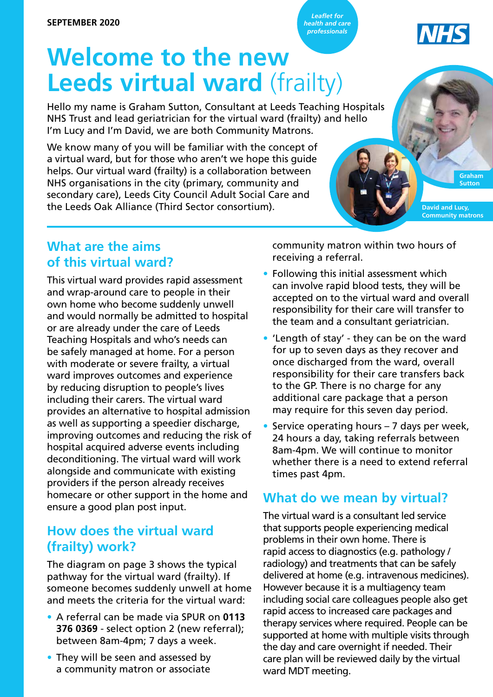*Leaflet for health and care professionals*

**David and Lucy, Community matrons**

**Graham Sutton**

# **Welcome to the new Leeds virtual ward** (frailty)

Hello my name is Graham Sutton, Consultant at Leeds Teaching Hospitals NHS Trust and lead geriatrician for the virtual ward (frailty) and hello I'm Lucy and I'm David, we are both Community Matrons.

We know many of you will be familiar with the concept of a virtual ward, but for those who aren't we hope this guide helps. Our virtual ward (frailty) is a collaboration between NHS organisations in the city (primary, community and secondary care), Leeds City Council Adult Social Care and the Leeds Oak Alliance (Third Sector consortium).

#### **What are the aims of this virtual ward?**

This virtual ward provides rapid assessment and wrap-around care to people in their own home who become suddenly unwell and would normally be admitted to hospital or are already under the care of Leeds Teaching Hospitals and who's needs can be safely managed at home. For a person with moderate or severe frailty, a virtual ward improves outcomes and experience by reducing disruption to people's lives including their carers. The virtual ward provides an alternative to hospital admission as well as supporting a speedier discharge, improving outcomes and reducing the risk of hospital acquired adverse events including deconditioning. The virtual ward will work alongside and communicate with existing providers if the person already receives homecare or other support in the home and ensure a good plan post input.

# **How does the virtual ward (frailty) work?**

The diagram on page 3 shows the typical pathway for the virtual ward (frailty). If someone becomes suddenly unwell at home and meets the criteria for the virtual ward:

- • A referral can be made via SPUR on **0113 376 0369** - select option 2 (new referral); between 8am-4pm; 7 days a week.
- They will be seen and assessed by a community matron or associate

community matron within two hours of receiving a referral.

- Following this initial assessment which can involve rapid blood tests, they will be accepted on to the virtual ward and overall responsibility for their care will transfer to the team and a consultant geriatrician.
- 'Length of stay' they can be on the ward for up to seven days as they recover and once discharged from the ward, overall responsibility for their care transfers back to the GP. There is no charge for any additional care package that a person may require for this seven day period.
- Service operating hours  $-7$  days per week, 24 hours a day, taking referrals between 8am-4pm. We will continue to monitor whether there is a need to extend referral times past 4pm.

#### **What do we mean by virtual?**

The virtual ward is a consultant led service that supports people experiencing medical problems in their own home. There is rapid access to diagnostics (e.g. pathology / radiology) and treatments that can be safely delivered at home (e.g. intravenous medicines). However because it is a multiagency team including social care colleagues people also get rapid access to increased care packages and therapy services where required. People can be supported at home with multiple visits through the day and care overnight if needed. Their care plan will be reviewed daily by the virtual ward MDT meeting.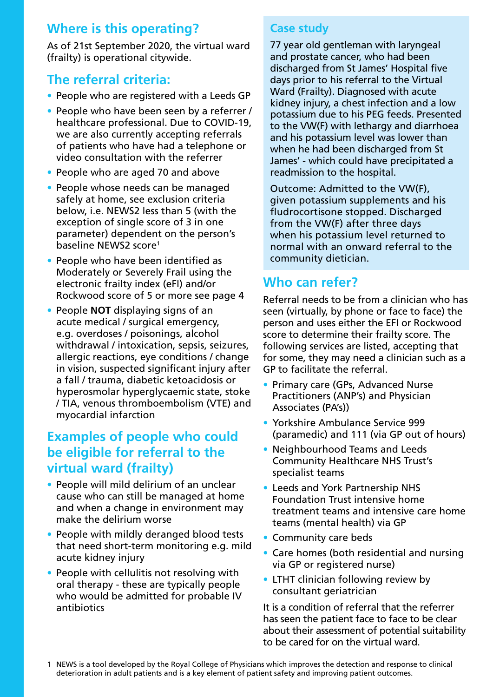# **Where is this operating?**

As of 21st September 2020, the virtual ward (frailty) is operational citywide.

#### **The referral criteria:**

- People who are registered with a Leeds GP
- People who have been seen by a referrer / healthcare professional. Due to COVID-19, we are also currently accepting referrals of patients who have had a telephone or video consultation with the referrer
- People who are aged 70 and above
- People whose needs can be managed safely at home, see exclusion criteria below, i.e. NEWS2 less than 5 (with the exception of single score of 3 in one parameter) dependent on the person's baseline NEWS2 score<sup>1</sup>
- People who have been identified as Moderately or Severely Frail using the electronic frailty index (eFI) and/or Rockwood score of 5 or more see page 4
- People **NOT** displaying signs of an acute medical / surgical emergency, e.g. overdoses / poisonings, alcohol withdrawal / intoxication, sepsis, seizures, allergic reactions, eye conditions / change in vision, suspected significant injury after a fall / trauma, diabetic ketoacidosis or hyperosmolar hyperglycaemic state, stoke / TIA, venous thromboembolism (VTE) and myocardial infarction

#### **Examples of people who could be eligible for referral to the virtual ward (frailty)**

- People will mild delirium of an unclear cause who can still be managed at home and when a change in environment may make the delirium worse
- People with mildly deranged blood tests that need short-term monitoring e.g. mild acute kidney injury
- People with cellulitis not resolving with oral therapy - these are typically people who would be admitted for probable IV antibiotics

#### **Case study**

77 year old gentleman with laryngeal and prostate cancer, who had been discharged from St James' Hospital five days prior to his referral to the Virtual Ward (Frailty). Diagnosed with acute kidney injury, a chest infection and a low potassium due to his PEG feeds. Presented to the VW(F) with lethargy and diarrhoea and his potassium level was lower than when he had been discharged from St James' - which could have precipitated a readmission to the hospital.

Outcome: Admitted to the VW(F), given potassium supplements and his fludrocortisone stopped. Discharged from the VW(F) after three days when his potassium level returned to normal with an onward referral to the community dietician.

### **Who can refer?**

Referral needs to be from a clinician who has seen (virtually, by phone or face to face) the person and uses either the EFI or Rockwood score to determine their frailty score. The following services are listed, accepting that for some, they may need a clinician such as a GP to facilitate the referral.

- Primary care (GPs, Advanced Nurse Practitioners (ANP's) and Physician Associates (PA's))
- Yorkshire Ambulance Service 999 (paramedic) and 111 (via GP out of hours)
- Neighbourhood Teams and Leeds Community Healthcare NHS Trust's specialist teams
- Leeds and York Partnership NHS Foundation Trust intensive home treatment teams and intensive care home teams (mental health) via GP
- Community care beds
- Care homes (both residential and nursing via GP or registered nurse)
- LTHT clinician following review by consultant geriatrician

It is a condition of referral that the referrer has seen the patient face to face to be clear about their assessment of potential suitability to be cared for on the virtual ward.

<sup>1</sup> NEWS is a tool developed by the Royal College of Physicians which improves the detection and response to clinical deterioration in adult patients and is a key element of patient safety and improving patient outcomes.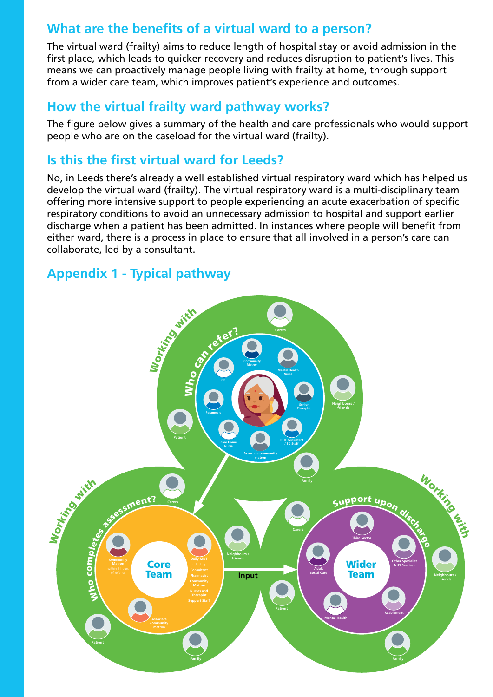# **What are the benefits of a virtual ward to a person?**

The virtual ward (frailty) aims to reduce length of hospital stay or avoid admission in the first place, which leads to quicker recovery and reduces disruption to patient's lives. This means we can proactively manage people living with frailty at home, through support from a wider care team, which improves patient's experience and outcomes.

#### **How the virtual frailty ward pathway works?**

The figure below gives a summary of the health and care professionals who would support people who are on the caseload for the virtual ward (frailty).

#### **Is this the first virtual ward for Leeds?**

No, in Leeds there's already a well established virtual respiratory ward which has helped us develop the virtual ward (frailty). The virtual respiratory ward is a multi-disciplinary team offering more intensive support to people experiencing an acute exacerbation of specific respiratory conditions to avoid an unnecessary admission to hospital and support earlier discharge when a patient has been admitted. In instances where people will benefit from either ward, there is a process in place to ensure that all involved in a person's care can collaborate, led by a consultant.

# **Appendix 1 - Typical pathway**